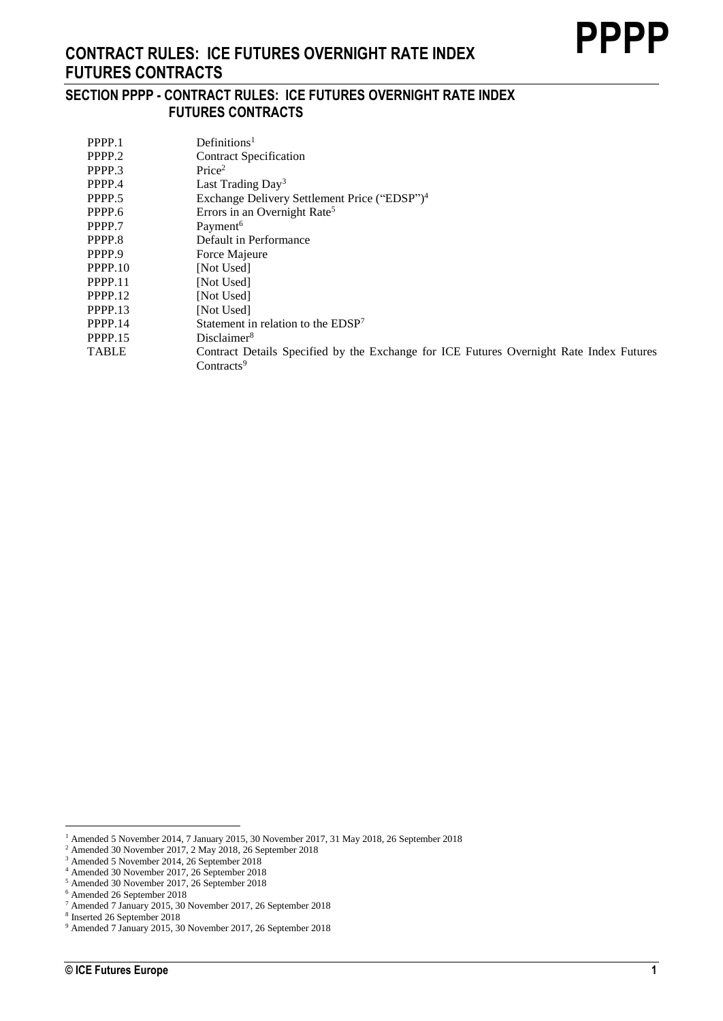### **SECTION PPPP - CONTRACT RULES: ICE FUTURES OVERNIGHT RATE INDEX FUTURES CONTRACTS**

| PPPP.1       | Definition <sup>1</sup>                                                                 |
|--------------|-----------------------------------------------------------------------------------------|
| PPPP.2       | <b>Contract Specification</b>                                                           |
| PPPP.3       | Price <sup>2</sup>                                                                      |
| PPPP.4       | Last Trading $Day^3$                                                                    |
| PPPP.5       | Exchange Delivery Settlement Price ("EDSP") <sup>4</sup>                                |
| PPPP.6       | Errors in an Overnight Rate <sup>5</sup>                                                |
| PPPP.7       | Payment <sup>6</sup>                                                                    |
| PPPP.8       | Default in Performance                                                                  |
| PPPP.9       | Force Majeure                                                                           |
| PPPP.10      | [Not Used]                                                                              |
| PPPP.11      | [Not Used]                                                                              |
| PPPP.12      | [Not Used]                                                                              |
| PPPP.13      | [Not Used]                                                                              |
| PPPP.14      | Statement in relation to the EDSP <sup>7</sup>                                          |
| PPPP.15      | Disclaimer <sup>8</sup>                                                                 |
| <b>TABLE</b> | Contract Details Specified by the Exchange for ICE Futures Overnight Rate Index Futures |
|              | Contracts <sup>9</sup>                                                                  |

<sup>1</sup> Amended 5 November 2014, 7 January 2015, 30 November 2017, 31 May 2018, 26 September 2018

<sup>2</sup> Amended 30 November 2017, 2 May 2018, 26 September 2018

<sup>3</sup> Amended 5 November 2014, 26 September 2018

<sup>4</sup> Amended 30 November 2017, 26 September 2018

<sup>5</sup> Amended 30 November 2017, 26 September 2018

<sup>6</sup> Amended 26 September 2018

<sup>7</sup> Amended 7 January 2015, 30 November 2017, 26 September 2018

<sup>8</sup> Inserted 26 September 2018

<sup>9</sup> Amended 7 January 2015, 30 November 2017, 26 September 2018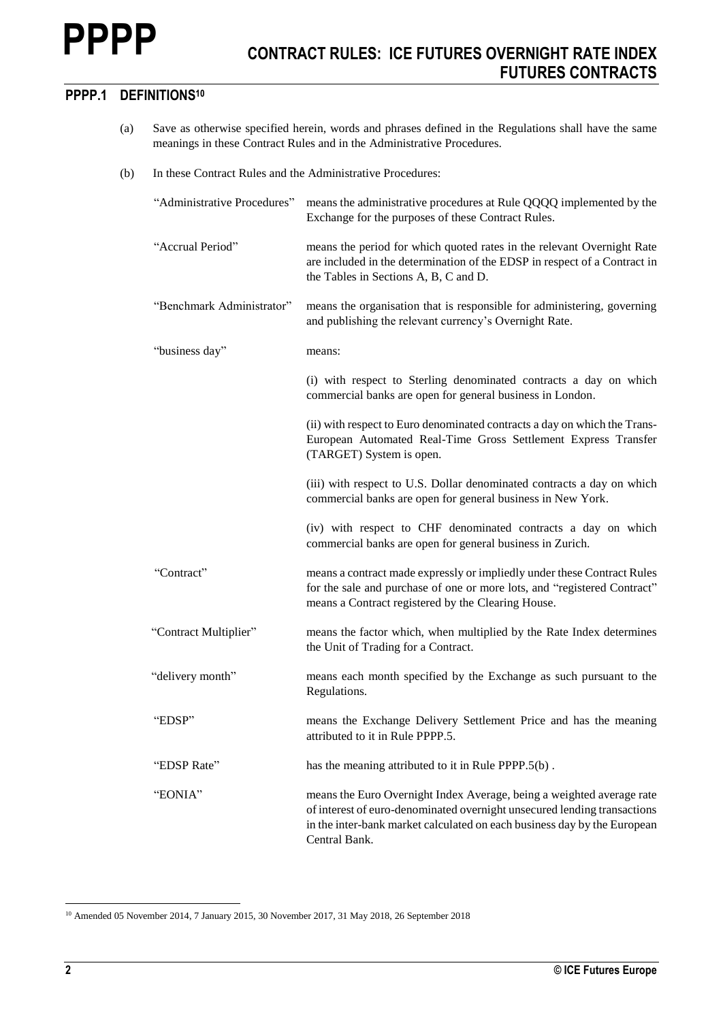## **PPPP.1 DEFINITIONS<sup>10</sup>**

- (a) Save as otherwise specified herein, words and phrases defined in the Regulations shall have the same meanings in these Contract Rules and in the Administrative Procedures.
- (b) In these Contract Rules and the Administrative Procedures:

| and publishing the relevant currency's Overnight Rate.      | means the period for which quoted rates in the relevant Overnight Rate<br>are included in the determination of the EDSP in respect of a Contract in<br>means the organisation that is responsible for administering, governing |
|-------------------------------------------------------------|--------------------------------------------------------------------------------------------------------------------------------------------------------------------------------------------------------------------------------|
|                                                             |                                                                                                                                                                                                                                |
|                                                             |                                                                                                                                                                                                                                |
|                                                             |                                                                                                                                                                                                                                |
| commercial banks are open for general business in London.   | (i) with respect to Sterling denominated contracts a day on which                                                                                                                                                              |
|                                                             | (ii) with respect to Euro denominated contracts a day on which the Trans-<br>European Automated Real-Time Gross Settlement Express Transfer                                                                                    |
| commercial banks are open for general business in New York. | (iii) with respect to U.S. Dollar denominated contracts a day on which                                                                                                                                                         |
| commercial banks are open for general business in Zurich.   | (iv) with respect to CHF denominated contracts a day on which                                                                                                                                                                  |
|                                                             | means a contract made expressly or impliedly under these Contract Rules<br>for the sale and purchase of one or more lots, and "registered Contract"                                                                            |
|                                                             | means the factor which, when multiplied by the Rate Index determines                                                                                                                                                           |
|                                                             | means each month specified by the Exchange as such pursuant to the                                                                                                                                                             |
|                                                             | means the Exchange Delivery Settlement Price and has the meaning                                                                                                                                                               |
|                                                             |                                                                                                                                                                                                                                |
|                                                             | means the Euro Overnight Index Average, being a weighted average rate<br>of interest of euro-denominated overnight unsecured lending transactions<br>in the inter-bank market calculated on each business day by the European  |
|                                                             |                                                                                                                                                                                                                                |

<sup>&</sup>lt;sup>10</sup> Amended 05 November 2014, 7 January 2015, 30 November 2017, 31 May 2018, 26 September 2018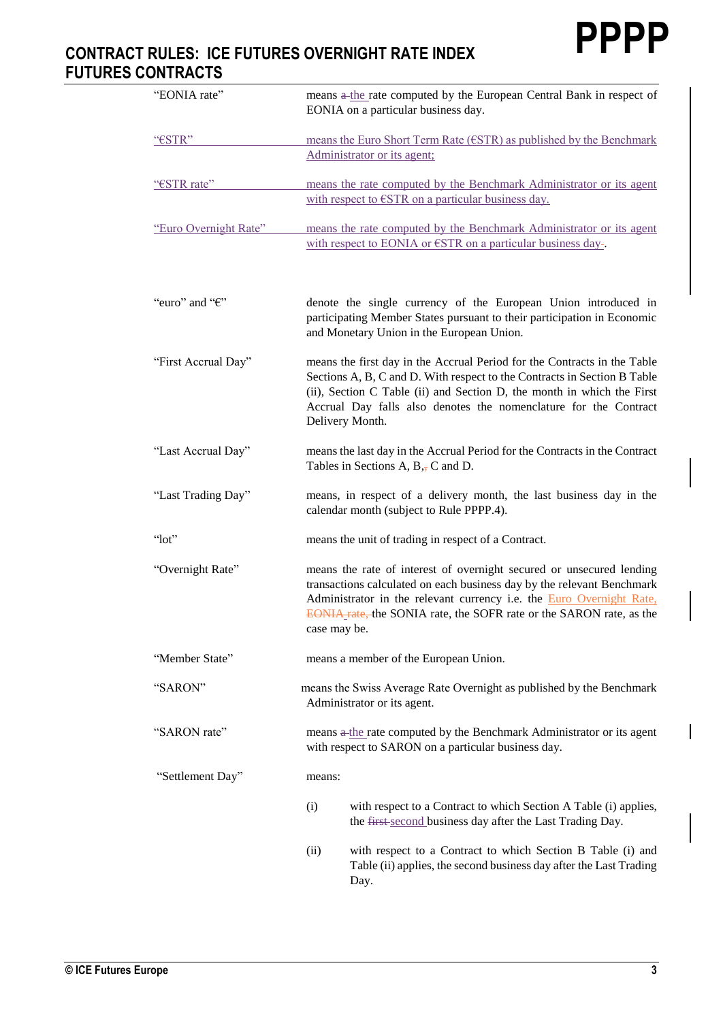| "EONIA rate"              | means a-the rate computed by the European Central Bank in respect of<br>EONIA on a particular business day.                                                                                                                                                                                                           |
|---------------------------|-----------------------------------------------------------------------------------------------------------------------------------------------------------------------------------------------------------------------------------------------------------------------------------------------------------------------|
| "€STR"                    | means the Euro Short Term Rate (€STR) as published by the Benchmark<br>Administrator or its agent;                                                                                                                                                                                                                    |
| "€STR rate"               | means the rate computed by the Benchmark Administrator or its agent<br>with respect to €STR on a particular business day.                                                                                                                                                                                             |
| "Euro Overnight Rate"     | means the rate computed by the Benchmark Administrator or its agent<br>with respect to EONIA or $\epsilon$ STR on a particular business day-                                                                                                                                                                          |
| "euro" and " $\epsilon$ " | denote the single currency of the European Union introduced in<br>participating Member States pursuant to their participation in Economic<br>and Monetary Union in the European Union.                                                                                                                                |
| "First Accrual Day"       | means the first day in the Accrual Period for the Contracts in the Table<br>Sections A, B, C and D. With respect to the Contracts in Section B Table<br>(ii), Section C Table (ii) and Section D, the month in which the First<br>Accrual Day falls also denotes the nomenclature for the Contract<br>Delivery Month. |
| "Last Accrual Day"        | means the last day in the Accrual Period for the Contracts in the Contract<br>Tables in Sections A, $B_{\overline{17}}C$ and D.                                                                                                                                                                                       |
| "Last Trading Day"        | means, in respect of a delivery month, the last business day in the<br>calendar month (subject to Rule PPPP.4).                                                                                                                                                                                                       |
| " $lot"$                  | means the unit of trading in respect of a Contract.                                                                                                                                                                                                                                                                   |
| "Overnight Rate"          | means the rate of interest of overnight secured or unsecured lending<br>transactions calculated on each business day by the relevant Benchmark<br>Administrator in the relevant currency i.e. the <b>Euro Overnight Rate</b> ,<br>EONIA rate, the SONIA rate, the SOFR rate or the SARON rate, as the<br>case may be. |
| "Member State"            | means a member of the European Union.                                                                                                                                                                                                                                                                                 |
| "SARON"                   | means the Swiss Average Rate Overnight as published by the Benchmark<br>Administrator or its agent.                                                                                                                                                                                                                   |
| "SARON rate"              | means a the rate computed by the Benchmark Administrator or its agent<br>with respect to SARON on a particular business day.                                                                                                                                                                                          |
| "Settlement Day"          | means:                                                                                                                                                                                                                                                                                                                |
|                           | (i)<br>with respect to a Contract to which Section A Table (i) applies,<br>the first-second business day after the Last Trading Day.                                                                                                                                                                                  |
|                           | (ii)<br>with respect to a Contract to which Section B Table (i) and<br>Table (ii) applies, the second business day after the Last Trading<br>Day.                                                                                                                                                                     |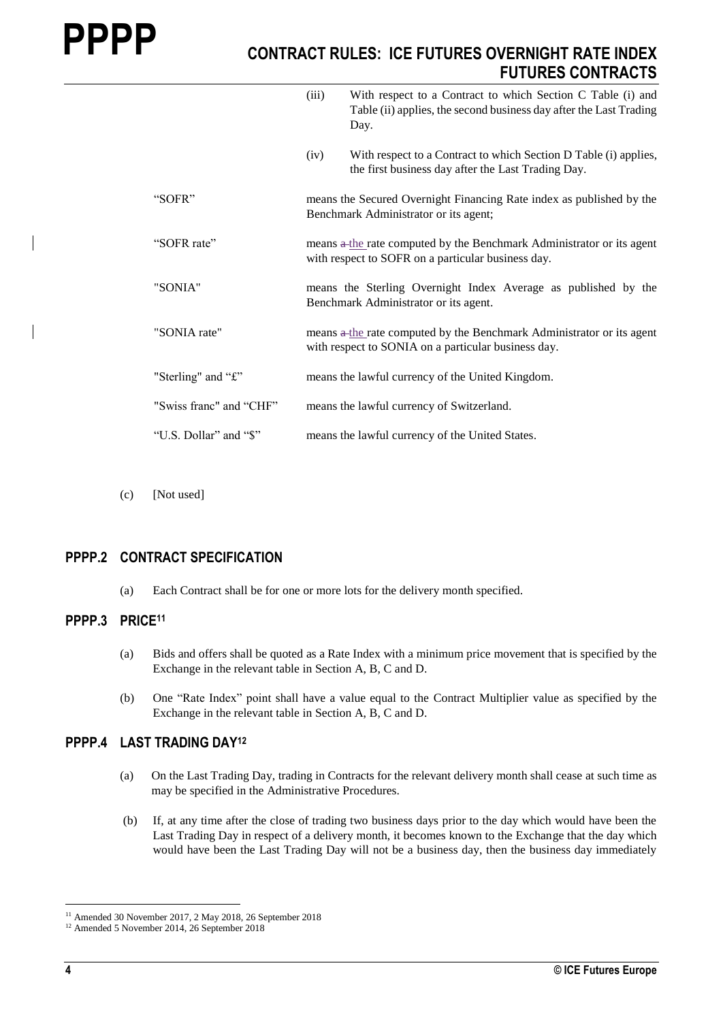|                         | (iii) | With respect to a Contract to which Section C Table (i) and<br>Table (ii) applies, the second business day after the Last Trading<br>Day. |
|-------------------------|-------|-------------------------------------------------------------------------------------------------------------------------------------------|
|                         | (iv)  | With respect to a Contract to which Section D Table (i) applies,<br>the first business day after the Last Trading Day.                    |
| "SOFR"                  |       | means the Secured Overnight Financing Rate index as published by the<br>Benchmark Administrator or its agent;                             |
| "SOFR rate"             |       | means a the rate computed by the Benchmark Administrator or its agent<br>with respect to SOFR on a particular business day.               |
| "SONIA"                 |       | means the Sterling Overnight Index Average as published by the<br>Benchmark Administrator or its agent.                                   |
| "SONIA rate"            |       | means $\theta$ the rate computed by the Benchmark Administrator or its agent<br>with respect to SONIA on a particular business day.       |
| "Sterling" and "£"      |       | means the lawful currency of the United Kingdom.                                                                                          |
| "Swiss franc" and "CHF" |       | means the lawful currency of Switzerland.                                                                                                 |
| "U.S. Dollar" and "\$"  |       | means the lawful currency of the United States.                                                                                           |

(c) [Not used]

### **PPPP.2 CONTRACT SPECIFICATION**

(a) Each Contract shall be for one or more lots for the delivery month specified.

#### **PPPP.3 PRICE<sup>11</sup>**

- (a) Bids and offers shall be quoted as a Rate Index with a minimum price movement that is specified by the Exchange in the relevant table in Section A, B, C and D.
- (b) One "Rate Index" point shall have a value equal to the Contract Multiplier value as specified by the Exchange in the relevant table in Section A, B, C and D.

#### **PPPP.4 LAST TRADING DAY<sup>12</sup>**

- (a) On the Last Trading Day, trading in Contracts for the relevant delivery month shall cease at such time as may be specified in the Administrative Procedures.
- (b) If, at any time after the close of trading two business days prior to the day which would have been the Last Trading Day in respect of a delivery month, it becomes known to the Exchange that the day which would have been the Last Trading Day will not be a business day, then the business day immediately

<sup>&</sup>lt;sup>11</sup> Amended 30 November 2017, 2 May 2018, 26 September 2018

<sup>12</sup> Amended 5 November 2014, 26 September 2018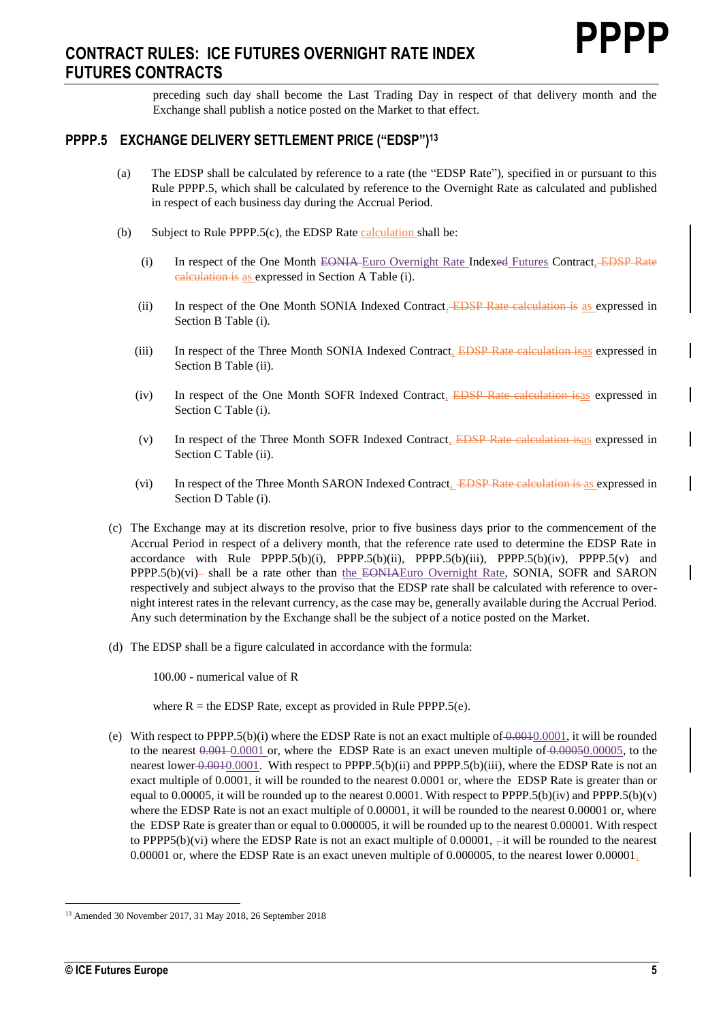preceding such day shall become the Last Trading Day in respect of that delivery month and the Exchange shall publish a notice posted on the Market to that effect.

## **PPPP.5 EXCHANGE DELIVERY SETTLEMENT PRICE ("EDSP") 13**

- (a) The EDSP shall be calculated by reference to a rate (the "EDSP Rate"), specified in or pursuant to this Rule PPPP.5, which shall be calculated by reference to the Overnight Rate as calculated and published in respect of each business day during the Accrual Period.
- (b) Subject to Rule PPPP.5(c), the EDSP Rate calculation shall be:
	- (i) In respect of the One Month EONIA Euro Overnight Rate Indexed Futures Contract, EDSP Rate calculation is as expressed in Section A Table (i).
	- (ii) In respect of the One Month SONIA Indexed Contract, EDSP Rate calculation is as expressed in Section B Table (i).
	- (iii) In respect of the Three Month SONIA Indexed Contract, EDSP Rate calculation isas expressed in Section B Table (ii).
	- (iv) In respect of the One Month SOFR Indexed Contract, EDSP Rate calculation isas expressed in Section C Table (i).
	- (v) In respect of the Three Month SOFR Indexed Contract, EDSP Rate calculation isas expressed in Section C Table (ii).
	- (vi) In respect of the Three Month SARON Indexed Contract, EDSP Rate calculation is as expressed in Section D Table (i).
- (c) The Exchange may at its discretion resolve, prior to five business days prior to the commencement of the Accrual Period in respect of a delivery month, that the reference rate used to determine the EDSP Rate in accordance with Rule PPPP.5(b)(i), PPPP.5(b)(ii), PPPP.5(b)(iii), PPPP.5(b)(iv), PPPP.5(v) and PPPP.5(b)(vi)- shall be a rate other than the EONIAEuro Overnight Rate, SONIA, SOFR and SARON respectively and subject always to the proviso that the EDSP rate shall be calculated with reference to overnight interest rates in the relevant currency, as the case may be, generally available during the Accrual Period. Any such determination by the Exchange shall be the subject of a notice posted on the Market.
- (d) The EDSP shall be a figure calculated in accordance with the formula:

100.00 - numerical value of R

where  $R =$  the EDSP Rate, except as provided in Rule PPPP.5(e).

(e) With respect to PPPP.5(b)(i) where the EDSP Rate is not an exact multiple of  $0.0001$ , it will be rounded to the nearest  $0.001 \text{ O}$ . where the EDSP Rate is an exact uneven multiple of  $0.00050.00005$ , to the nearest lower 0.0010.0001. With respect to PPPP.5(b)(ii) and PPPP.5(b)(iii), where the EDSP Rate is not an exact multiple of 0.0001, it will be rounded to the nearest 0.0001 or, where the EDSP Rate is greater than or equal to 0.00005, it will be rounded up to the nearest 0.0001. With respect to PPPP.5(b)(iv) and PPPP.5(b)(v) where the EDSP Rate is not an exact multiple of 0.00001, it will be rounded to the nearest 0.00001 or, where the EDSP Rate is greater than or equal to 0.000005, it will be rounded up to the nearest 0.00001. With respect to PPPP5(b)(vi) where the EDSP Rate is not an exact multiple of 0.00001,  $\frac{1}{2}$  it will be rounded to the nearest 0.00001 or, where the EDSP Rate is an exact uneven multiple of 0.000005, to the nearest lower 0.00001.

<sup>1</sup> <sup>13</sup> Amended 30 November 2017, 31 May 2018, 26 September 2018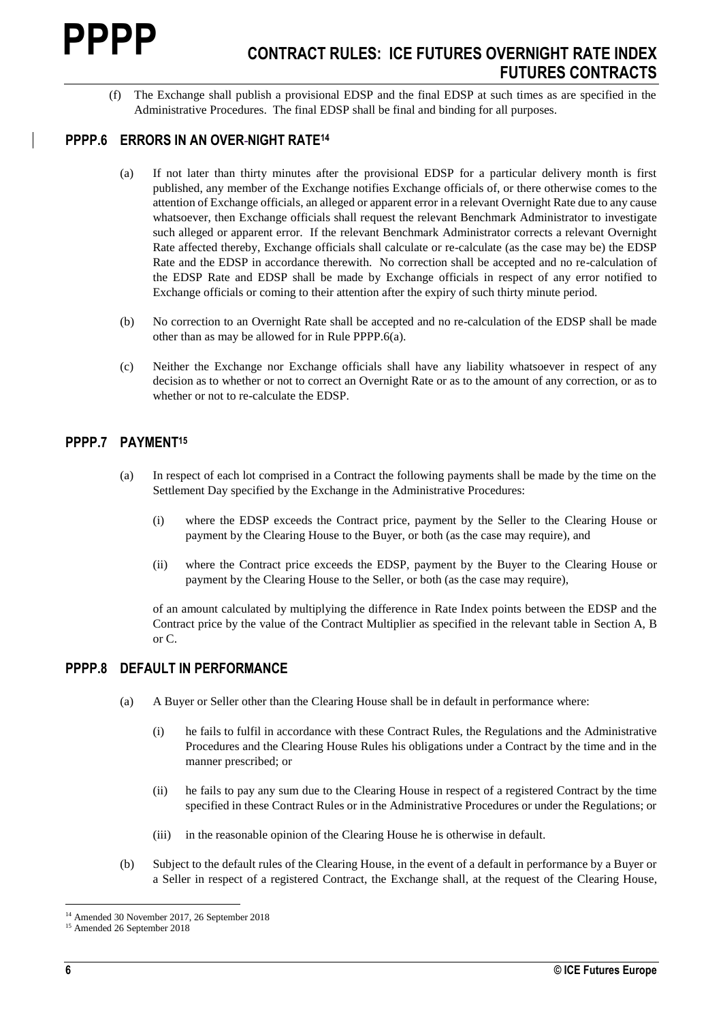(f) The Exchange shall publish a provisional EDSP and the final EDSP at such times as are specified in the Administrative Procedures. The final EDSP shall be final and binding for all purposes.

## **PPPP.6 ERRORS IN AN OVER NIGHT RATE<sup>14</sup>**

- (a) If not later than thirty minutes after the provisional EDSP for a particular delivery month is first published, any member of the Exchange notifies Exchange officials of, or there otherwise comes to the attention of Exchange officials, an alleged or apparent error in a relevant Overnight Rate due to any cause whatsoever, then Exchange officials shall request the relevant Benchmark Administrator to investigate such alleged or apparent error. If the relevant Benchmark Administrator corrects a relevant Overnight Rate affected thereby, Exchange officials shall calculate or re-calculate (as the case may be) the EDSP Rate and the EDSP in accordance therewith. No correction shall be accepted and no re-calculation of the EDSP Rate and EDSP shall be made by Exchange officials in respect of any error notified to Exchange officials or coming to their attention after the expiry of such thirty minute period.
- (b) No correction to an Overnight Rate shall be accepted and no re-calculation of the EDSP shall be made other than as may be allowed for in Rule PPPP.6(a).
- (c) Neither the Exchange nor Exchange officials shall have any liability whatsoever in respect of any decision as to whether or not to correct an Overnight Rate or as to the amount of any correction, or as to whether or not to re-calculate the EDSP.

#### **PPPP.7 PAYMENT<sup>15</sup>**

- (a) In respect of each lot comprised in a Contract the following payments shall be made by the time on the Settlement Day specified by the Exchange in the Administrative Procedures:
	- (i) where the EDSP exceeds the Contract price, payment by the Seller to the Clearing House or payment by the Clearing House to the Buyer, or both (as the case may require), and
	- (ii) where the Contract price exceeds the EDSP, payment by the Buyer to the Clearing House or payment by the Clearing House to the Seller, or both (as the case may require),

of an amount calculated by multiplying the difference in Rate Index points between the EDSP and the Contract price by the value of the Contract Multiplier as specified in the relevant table in Section A, B or C.

#### **PPPP.8 DEFAULT IN PERFORMANCE**

- (a) A Buyer or Seller other than the Clearing House shall be in default in performance where:
	- (i) he fails to fulfil in accordance with these Contract Rules, the Regulations and the Administrative Procedures and the Clearing House Rules his obligations under a Contract by the time and in the manner prescribed; or
	- (ii) he fails to pay any sum due to the Clearing House in respect of a registered Contract by the time specified in these Contract Rules or in the Administrative Procedures or under the Regulations; or
	- (iii) in the reasonable opinion of the Clearing House he is otherwise in default.
- (b) Subject to the default rules of the Clearing House, in the event of a default in performance by a Buyer or a Seller in respect of a registered Contract, the Exchange shall, at the request of the Clearing House,

<sup>1</sup> <sup>14</sup> Amended 30 November 2017, 26 September 2018

<sup>15</sup> Amended 26 September 2018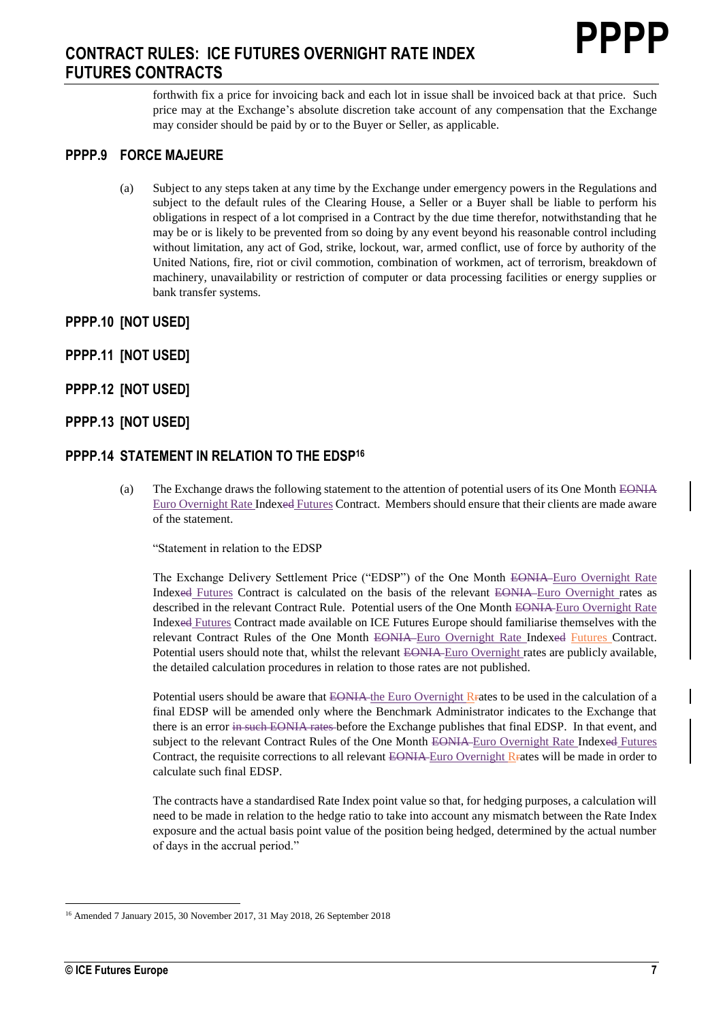forthwith fix a price for invoicing back and each lot in issue shall be invoiced back at that price. Such price may at the Exchange's absolute discretion take account of any compensation that the Exchange may consider should be paid by or to the Buyer or Seller, as applicable.

#### **PPPP.9 FORCE MAJEURE**

- (a) Subject to any steps taken at any time by the Exchange under emergency powers in the Regulations and subject to the default rules of the Clearing House, a Seller or a Buyer shall be liable to perform his obligations in respect of a lot comprised in a Contract by the due time therefor, notwithstanding that he may be or is likely to be prevented from so doing by any event beyond his reasonable control including without limitation, any act of God, strike, lockout, war, armed conflict, use of force by authority of the United Nations, fire, riot or civil commotion, combination of workmen, act of terrorism, breakdown of machinery, unavailability or restriction of computer or data processing facilities or energy supplies or bank transfer systems.
- **PPPP.10 [NOT USED]**
- **PPPP.11 [NOT USED]**
- **PPPP.12 [NOT USED]**
- **PPPP.13 [NOT USED]**

#### **PPPP.14 STATEMENT IN RELATION TO THE EDSP<sup>16</sup>**

(a) The Exchange draws the following statement to the attention of potential users of its One Month EONIA Euro Overnight Rate Indexed Futures Contract. Members should ensure that their clients are made aware of the statement.

"Statement in relation to the EDSP

The Exchange Delivery Settlement Price ("EDSP") of the One Month EONIA Euro Overnight Rate Indexed Futures Contract is calculated on the basis of the relevant EONIA Euro Overnight rates as described in the relevant Contract Rule. Potential users of the One Month EONIA Euro Overnight Rate Indexed Futures Contract made available on ICE Futures Europe should familiarise themselves with the relevant Contract Rules of the One Month EONIA Euro Overnight Rate Indexed Futures Contract. Potential users should note that, whilst the relevant EONIA-Euro Overnight rates are publicly available, the detailed calculation procedures in relation to those rates are not published.

Potential users should be aware that EONIA the Euro Overnight Rrates to be used in the calculation of a final EDSP will be amended only where the Benchmark Administrator indicates to the Exchange that there is an error in such EONIA rates before the Exchange publishes that final EDSP. In that event, and subject to the relevant Contract Rules of the One Month EONIA-Euro Overnight Rate Indexed Futures Contract, the requisite corrections to all relevant  $EOMA$ -Euro Overnight R<sub>F</sub>ates will be made in order to calculate such final EDSP.

The contracts have a standardised Rate Index point value so that, for hedging purposes, a calculation will need to be made in relation to the hedge ratio to take into account any mismatch between the Rate Index exposure and the actual basis point value of the position being hedged, determined by the actual number of days in the accrual period."

<sup>16</sup> Amended 7 January 2015, 30 November 2017, 31 May 2018, 26 September 2018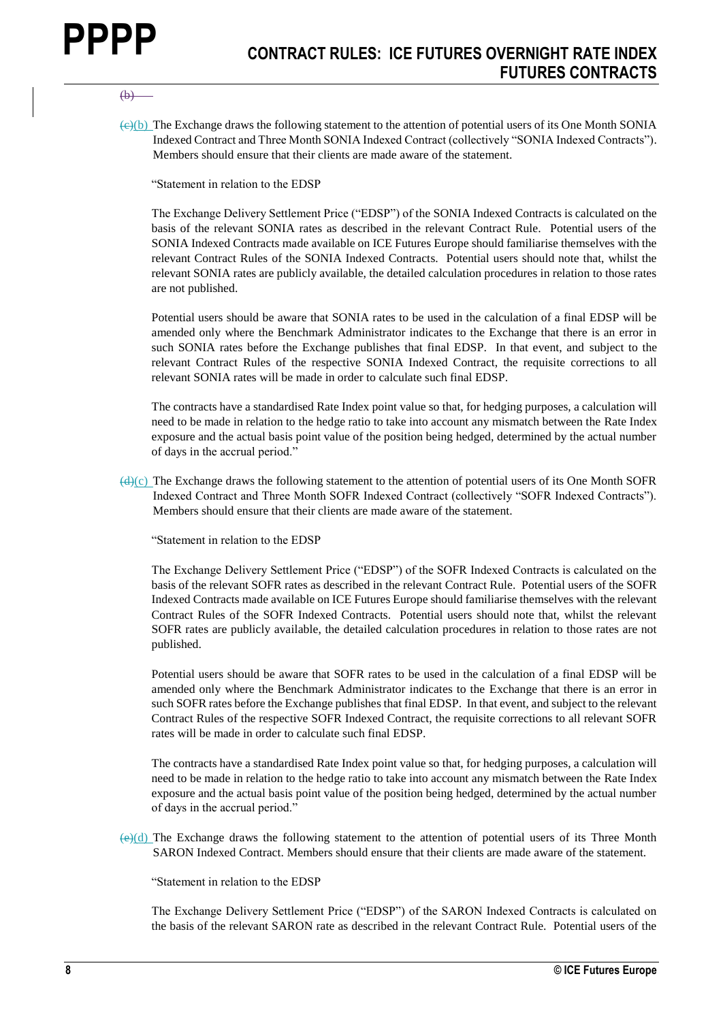#### $(b)$

 $\left(\frac{e}{c}\right)$  The Exchange draws the following statement to the attention of potential users of its One Month SONIA Indexed Contract and Three Month SONIA Indexed Contract (collectively "SONIA Indexed Contracts"). Members should ensure that their clients are made aware of the statement.

"Statement in relation to the EDSP

The Exchange Delivery Settlement Price ("EDSP") of the SONIA Indexed Contracts is calculated on the basis of the relevant SONIA rates as described in the relevant Contract Rule. Potential users of the SONIA Indexed Contracts made available on ICE Futures Europe should familiarise themselves with the relevant Contract Rules of the SONIA Indexed Contracts. Potential users should note that, whilst the relevant SONIA rates are publicly available, the detailed calculation procedures in relation to those rates are not published.

Potential users should be aware that SONIA rates to be used in the calculation of a final EDSP will be amended only where the Benchmark Administrator indicates to the Exchange that there is an error in such SONIA rates before the Exchange publishes that final EDSP. In that event, and subject to the relevant Contract Rules of the respective SONIA Indexed Contract, the requisite corrections to all relevant SONIA rates will be made in order to calculate such final EDSP.

The contracts have a standardised Rate Index point value so that, for hedging purposes, a calculation will need to be made in relation to the hedge ratio to take into account any mismatch between the Rate Index exposure and the actual basis point value of the position being hedged, determined by the actual number of days in the accrual period."

 $\left(\frac{d}{c}\right)$  The Exchange draws the following statement to the attention of potential users of its One Month SOFR Indexed Contract and Three Month SOFR Indexed Contract (collectively "SOFR Indexed Contracts"). Members should ensure that their clients are made aware of the statement.

"Statement in relation to the EDSP

The Exchange Delivery Settlement Price ("EDSP") of the SOFR Indexed Contracts is calculated on the basis of the relevant SOFR rates as described in the relevant Contract Rule. Potential users of the SOFR Indexed Contracts made available on ICE Futures Europe should familiarise themselves with the relevant Contract Rules of the SOFR Indexed Contracts. Potential users should note that, whilst the relevant SOFR rates are publicly available, the detailed calculation procedures in relation to those rates are not published.

Potential users should be aware that SOFR rates to be used in the calculation of a final EDSP will be amended only where the Benchmark Administrator indicates to the Exchange that there is an error in such SOFR rates before the Exchange publishes that final EDSP. In that event, and subject to the relevant Contract Rules of the respective SOFR Indexed Contract, the requisite corrections to all relevant SOFR rates will be made in order to calculate such final EDSP.

The contracts have a standardised Rate Index point value so that, for hedging purposes, a calculation will need to be made in relation to the hedge ratio to take into account any mismatch between the Rate Index exposure and the actual basis point value of the position being hedged, determined by the actual number of days in the accrual period."

 $\left(\frac{e}{d}\right)$  The Exchange draws the following statement to the attention of potential users of its Three Month SARON Indexed Contract. Members should ensure that their clients are made aware of the statement.

"Statement in relation to the EDSP

The Exchange Delivery Settlement Price ("EDSP") of the SARON Indexed Contracts is calculated on the basis of the relevant SARON rate as described in the relevant Contract Rule. Potential users of the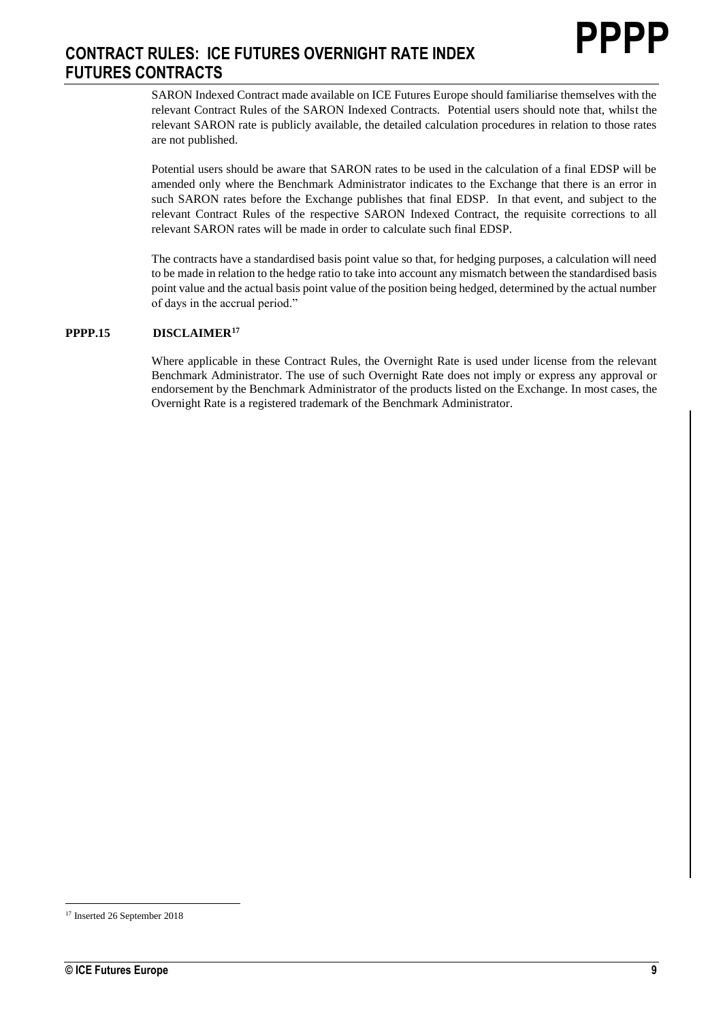SARON Indexed Contract made available on ICE Futures Europe should familiarise themselves with the relevant Contract Rules of the SARON Indexed Contracts. Potential users should note that, whilst the relevant SARON rate is publicly available, the detailed calculation procedures in relation to those rates are not published.

Potential users should be aware that SARON rates to be used in the calculation of a final EDSP will be amended only where the Benchmark Administrator indicates to the Exchange that there is an error in such SARON rates before the Exchange publishes that final EDSP. In that event, and subject to the relevant Contract Rules of the respective SARON Indexed Contract, the requisite corrections to all relevant SARON rates will be made in order to calculate such final EDSP.

The contracts have a standardised basis point value so that, for hedging purposes, a calculation will need to be made in relation to the hedge ratio to take into account any mismatch between the standardised basis point value and the actual basis point value of the position being hedged, determined by the actual number of days in the accrual period."

#### **PPPP.15 DISCLAIMER<sup>17</sup>**

Where applicable in these Contract Rules, the Overnight Rate is used under license from the relevant Benchmark Administrator. The use of such Overnight Rate does not imply or express any approval or endorsement by the Benchmark Administrator of the products listed on the Exchange. In most cases, the Overnight Rate is a registered trademark of the Benchmark Administrator.

<sup>&</sup>lt;sup>17</sup> Inserted 26 September 2018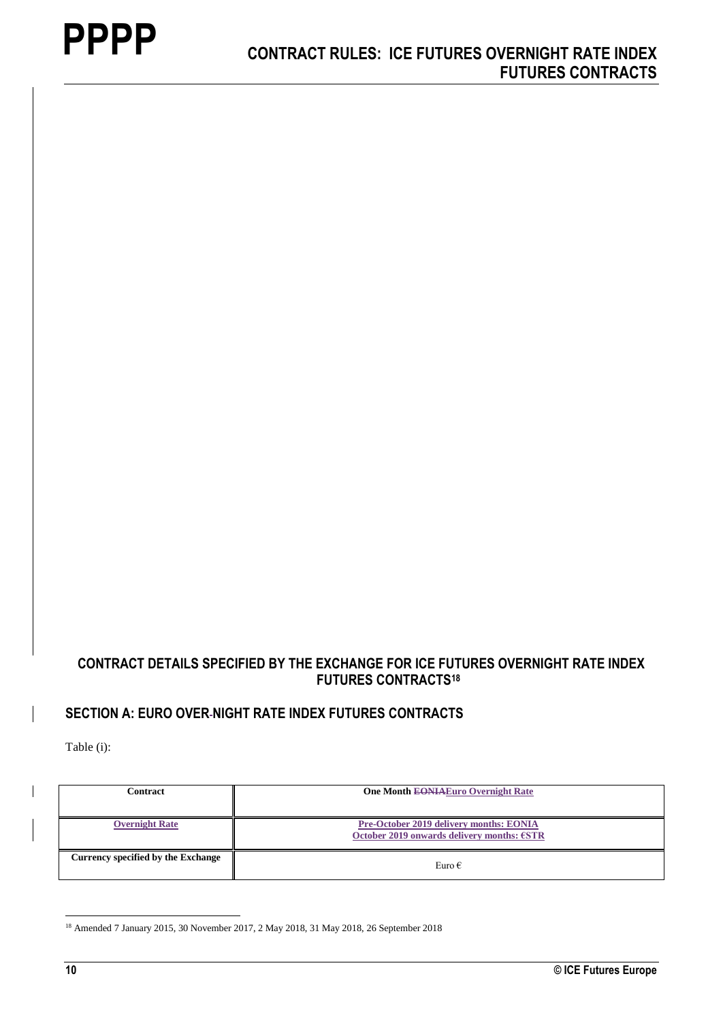## **CONTRACT DETAILS SPECIFIED BY THE EXCHANGE FOR ICE FUTURES OVERNIGHT RATE INDEX FUTURES CONTRACTS<sup>18</sup>**

## **SECTION A: EURO OVER NIGHT RATE INDEX FUTURES CONTRACTS**

Table (i):

| Contract                           | <b>One Month EONIAEuro Overnight Rate</b>                                             |
|------------------------------------|---------------------------------------------------------------------------------------|
| <b>Overnight Rate</b>              | Pre-October 2019 delivery months: EONIA<br>October 2019 onwards delivery months: €STR |
| Currency specified by the Exchange | Euro $\epsilon$                                                                       |

<sup>&</sup>lt;sup>18</sup> Amended 7 January 2015, 30 November 2017, 2 May 2018, 31 May 2018, 26 September 2018

<u>.</u>

 $\overline{\phantom{a}}$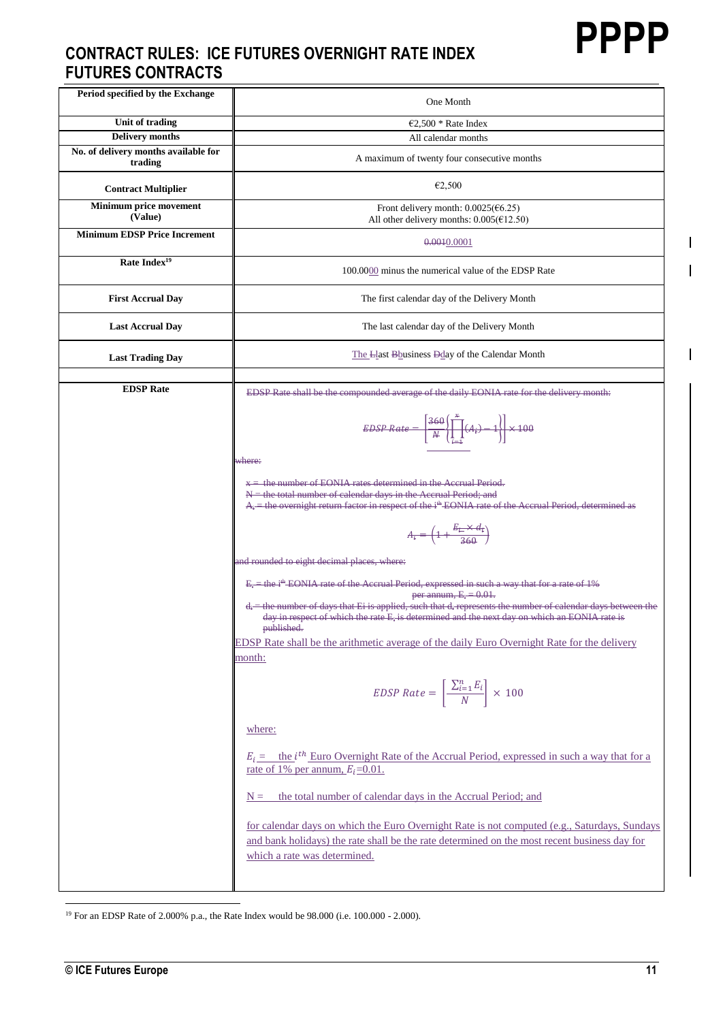$\overline{\phantom{a}}$ 

 $\overline{1}$ 

 $\overline{\phantom{a}}$ 

# **CONTRACT RULES: ICE FUTURES OVERNIGHT RATE INDEX FUTURES CONTRACTS**

| Period specified by the Exchange                | One Month                                                                                                                                                                                                                                                        |
|-------------------------------------------------|------------------------------------------------------------------------------------------------------------------------------------------------------------------------------------------------------------------------------------------------------------------|
| Unit of trading                                 | $\epsilon$ 2,500 * Rate Index                                                                                                                                                                                                                                    |
| <b>Delivery months</b>                          | All calendar months                                                                                                                                                                                                                                              |
| No. of delivery months available for<br>trading | A maximum of twenty four consecutive months                                                                                                                                                                                                                      |
| <b>Contract Multiplier</b>                      | €2,500                                                                                                                                                                                                                                                           |
| Minimum price movement<br>(Value)               | Front delivery month: $0.0025(\text{€}6.25)$<br>All other delivery months: $0.005$ ( $E12.50$ )                                                                                                                                                                  |
| <b>Minimum EDSP Price Increment</b>             | 0.0010.0001                                                                                                                                                                                                                                                      |
| Rate Index <sup>19</sup>                        | 100,0000 minus the numerical value of the EDSP Rate                                                                                                                                                                                                              |
| <b>First Accrual Day</b>                        | The first calendar day of the Delivery Month                                                                                                                                                                                                                     |
| <b>Last Accrual Day</b>                         | The last calendar day of the Delivery Month                                                                                                                                                                                                                      |
| <b>Last Trading Day</b>                         | The Llast Bbusiness Dday of the Calendar Month                                                                                                                                                                                                                   |
| <b>EDSP</b> Rate                                | EDSP Rate shall be the compounded average of the daily EONIA rate for the delivery month:                                                                                                                                                                        |
|                                                 | $EDSP Rate = \left[\frac{360}{N}\left(\prod_{i=1}^{x}(A_i) - 1\right)\right] \times 100$                                                                                                                                                                         |
|                                                 | where:                                                                                                                                                                                                                                                           |
|                                                 | $x =$ the number of EONIA rates determined in the Accrual Period.<br>$N =$ the total number of calendar days in the Accrual Period; and<br>$A_i$ = the overnight return factor in respect of the i <sup>th</sup> EONIA rate of the Accrual Period, determined as |
|                                                 | $A_i = \left(1 + \frac{E_i - \times d_i}{360}\right)$                                                                                                                                                                                                            |
|                                                 | and rounded to eight decimal places, where:                                                                                                                                                                                                                      |
|                                                 | $E_i$ = the i <sup>th</sup> EONIA rate of the Accrual Period, expressed in such a way that for a rate of 1%<br>per annum, $E_i = 0.01$ .                                                                                                                         |
|                                                 | $d_i$ = the number of days that Ei is applied, such that $d_i$ represents the number of calendar days between the<br>day in respect of which the rate E <sub>i</sub> is determined and the next day on which an EONIA rate is                                    |
|                                                 | published.<br>EDSP Rate shall be the arithmetic average of the daily Euro Overnight Rate for the delivery                                                                                                                                                        |
|                                                 | month:                                                                                                                                                                                                                                                           |
|                                                 | EDSP Rate = $\left[\frac{\sum_{i=1}^{n} E_i}{N}\right] \times 100$                                                                                                                                                                                               |
|                                                 | where:                                                                                                                                                                                                                                                           |
|                                                 | $E_i$ = the <i>i</i> <sup>th</sup> Euro Overnight Rate of the Accrual Period, expressed in such a way that for a<br>rate of 1% per annum, $E_i=0.01$ .                                                                                                           |
|                                                 | the total number of calendar days in the Accrual Period; and<br>$N =$                                                                                                                                                                                            |
|                                                 | for calendar days on which the Euro Overnight Rate is not computed (e.g., Saturdays, Sundays<br>and bank holidays) the rate shall be the rate determined on the most recent business day for<br>which a rate was determined.                                     |
|                                                 |                                                                                                                                                                                                                                                                  |

1 <sup>19</sup> For an EDSP Rate of 2.000% p.a., the Rate Index would be 98.000 (i.e. 100.000 - 2.000).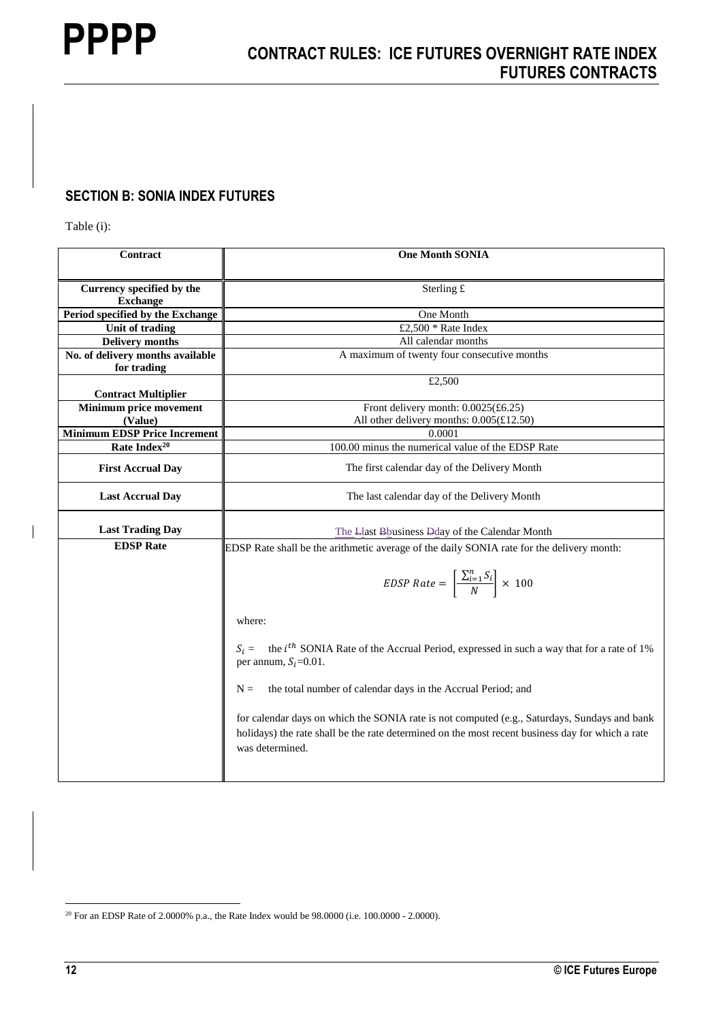## **SECTION B: SONIA INDEX FUTURES**

Table (i):

| Contract                                        | <b>One Month SONIA</b>                                                                                                                                                                                              |
|-------------------------------------------------|---------------------------------------------------------------------------------------------------------------------------------------------------------------------------------------------------------------------|
| Currency specified by the<br><b>Exchange</b>    | Sterling £                                                                                                                                                                                                          |
| Period specified by the Exchange                | One Month                                                                                                                                                                                                           |
| Unit of trading                                 | £2,500 $*$ Rate Index                                                                                                                                                                                               |
| <b>Delivery months</b>                          | All calendar months                                                                                                                                                                                                 |
| No. of delivery months available<br>for trading | A maximum of twenty four consecutive months                                                                                                                                                                         |
| <b>Contract Multiplier</b>                      | £2,500                                                                                                                                                                                                              |
| Minimum price movement                          | Front delivery month: $0.0025(\text{\pounds}6.25)$                                                                                                                                                                  |
| (Value)                                         | All other delivery months: 0.005(£12.50)                                                                                                                                                                            |
| <b>Minimum EDSP Price Increment</b>             | 0.0001                                                                                                                                                                                                              |
| Rate Index <sup>20</sup>                        | 100.00 minus the numerical value of the EDSP Rate                                                                                                                                                                   |
| <b>First Accrual Day</b>                        | The first calendar day of the Delivery Month                                                                                                                                                                        |
| <b>Last Accrual Day</b>                         | The last calendar day of the Delivery Month                                                                                                                                                                         |
| <b>Last Trading Day</b>                         | The Llast Bhusiness Dday of the Calendar Month                                                                                                                                                                      |
| <b>EDSP</b> Rate                                | EDSP Rate shall be the arithmetic average of the daily SONIA rate for the delivery month:                                                                                                                           |
|                                                 | EDSP Rate = $\left[\frac{\sum_{i=1}^{n} S_i}{N}\right] \times 100$                                                                                                                                                  |
|                                                 | where:                                                                                                                                                                                                              |
|                                                 | $S_i$ = the <i>i</i> <sup>th</sup> SONIA Rate of the Accrual Period, expressed in such a way that for a rate of 1%<br>per annum, $S_i=0.01$ .                                                                       |
|                                                 | the total number of calendar days in the Accrual Period; and<br>$N =$                                                                                                                                               |
|                                                 | for calendar days on which the SONIA rate is not computed (e.g., Saturdays, Sundays and bank<br>holidays) the rate shall be the rate determined on the most recent business day for which a rate<br>was determined. |

1

 $\overline{\phantom{a}}$ 

 $^{20}$  For an EDSP Rate of 2.0000% p.a., the Rate Index would be 98.0000 (i.e. 100.0000 - 2.0000).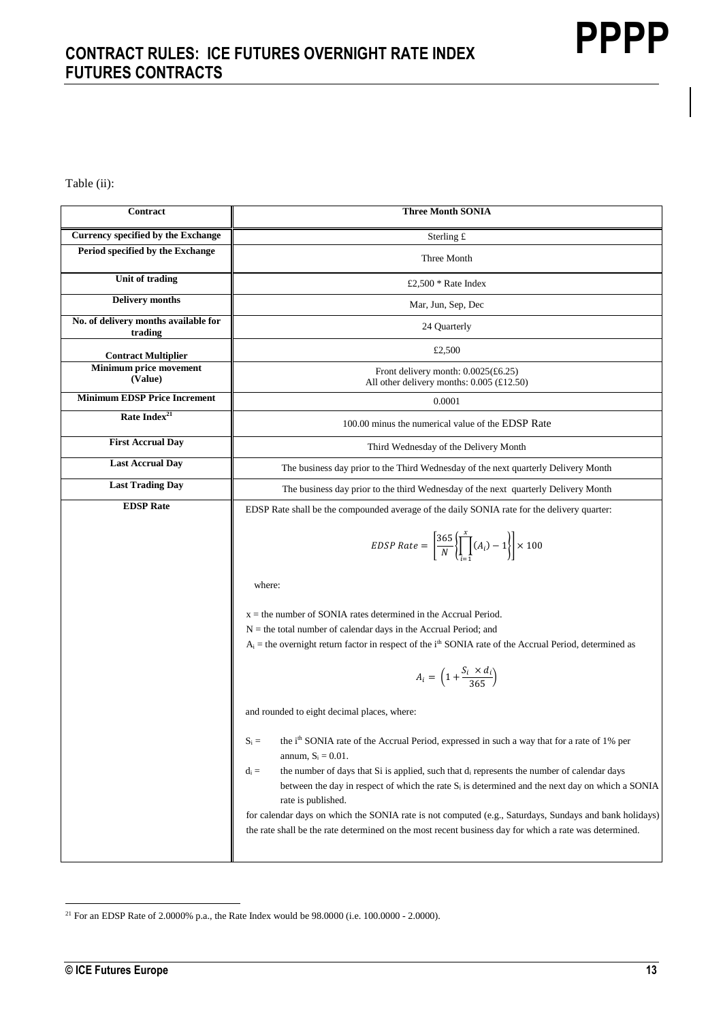Table (ii):

| Contract                                        | <b>Three Month SONIA</b>                                                                                                                                                                                                                                                                                                                                                                                                                                                                                                                                                                                         |
|-------------------------------------------------|------------------------------------------------------------------------------------------------------------------------------------------------------------------------------------------------------------------------------------------------------------------------------------------------------------------------------------------------------------------------------------------------------------------------------------------------------------------------------------------------------------------------------------------------------------------------------------------------------------------|
| Currency specified by the Exchange              | Sterling $\pounds$                                                                                                                                                                                                                                                                                                                                                                                                                                                                                                                                                                                               |
| Period specified by the Exchange                | Three Month                                                                                                                                                                                                                                                                                                                                                                                                                                                                                                                                                                                                      |
| <b>Unit of trading</b>                          | £2.500 $*$ Rate Index                                                                                                                                                                                                                                                                                                                                                                                                                                                                                                                                                                                            |
| <b>Delivery</b> months                          | Mar, Jun, Sep, Dec                                                                                                                                                                                                                                                                                                                                                                                                                                                                                                                                                                                               |
| No. of delivery months available for<br>trading | 24 Quarterly                                                                                                                                                                                                                                                                                                                                                                                                                                                                                                                                                                                                     |
| <b>Contract Multiplier</b>                      | £2,500                                                                                                                                                                                                                                                                                                                                                                                                                                                                                                                                                                                                           |
| Minimum price movement<br>(Value)               | Front delivery month: 0.0025(£6.25)<br>All other delivery months: $0.005$ (£12.50)                                                                                                                                                                                                                                                                                                                                                                                                                                                                                                                               |
| <b>Minimum EDSP Price Increment</b>             | 0.0001                                                                                                                                                                                                                                                                                                                                                                                                                                                                                                                                                                                                           |
| Rate Index <sup>21</sup>                        | 100.00 minus the numerical value of the EDSP Rate                                                                                                                                                                                                                                                                                                                                                                                                                                                                                                                                                                |
| <b>First Accrual Day</b>                        | Third Wednesday of the Delivery Month                                                                                                                                                                                                                                                                                                                                                                                                                                                                                                                                                                            |
| <b>Last Accrual Day</b>                         | The business day prior to the Third Wednesday of the next quarterly Delivery Month                                                                                                                                                                                                                                                                                                                                                                                                                                                                                                                               |
| <b>Last Trading Day</b>                         | The business day prior to the third Wednesday of the next quarterly Delivery Month                                                                                                                                                                                                                                                                                                                                                                                                                                                                                                                               |
| <b>EDSP</b> Rate                                | EDSP Rate shall be the compounded average of the daily SONIA rate for the delivery quarter:                                                                                                                                                                                                                                                                                                                                                                                                                                                                                                                      |
|                                                 | EDSP Rate = $\left[\frac{365}{N}\left\{\prod_{i=1}^{x}(A_i)-1\right\}\right] \times 100$                                                                                                                                                                                                                                                                                                                                                                                                                                                                                                                         |
|                                                 | where:                                                                                                                                                                                                                                                                                                                                                                                                                                                                                                                                                                                                           |
|                                                 | $x =$ the number of SONIA rates determined in the Accrual Period.<br>$N =$ the total number of calendar days in the Accrual Period; and<br>$A_i$ = the overnight return factor in respect of the i <sup>th</sup> SONIA rate of the Accrual Period, determined as                                                                                                                                                                                                                                                                                                                                                 |
|                                                 | $A_i = \left(1 + \frac{S_i \times d_i}{365}\right)$                                                                                                                                                                                                                                                                                                                                                                                                                                                                                                                                                              |
|                                                 | and rounded to eight decimal places, where:                                                                                                                                                                                                                                                                                                                                                                                                                                                                                                                                                                      |
|                                                 | the i <sup>th</sup> SONIA rate of the Accrual Period, expressed in such a way that for a rate of 1% per<br>$S_i =$<br>annum, $S_i = 0.01$ .<br>the number of days that Si is applied, such that $d_i$ represents the number of calendar days<br>$d_i =$<br>between the day in respect of which the rate S <sub>i</sub> is determined and the next day on which a SONIA<br>rate is published.<br>for calendar days on which the SONIA rate is not computed (e.g., Saturdays, Sundays and bank holidays)<br>the rate shall be the rate determined on the most recent business day for which a rate was determined. |

<sup>1</sup> <sup>21</sup> For an EDSP Rate of 2.0000% p.a., the Rate Index would be  $98.0000$  (i.e.  $100.0000 - 2.0000$ ).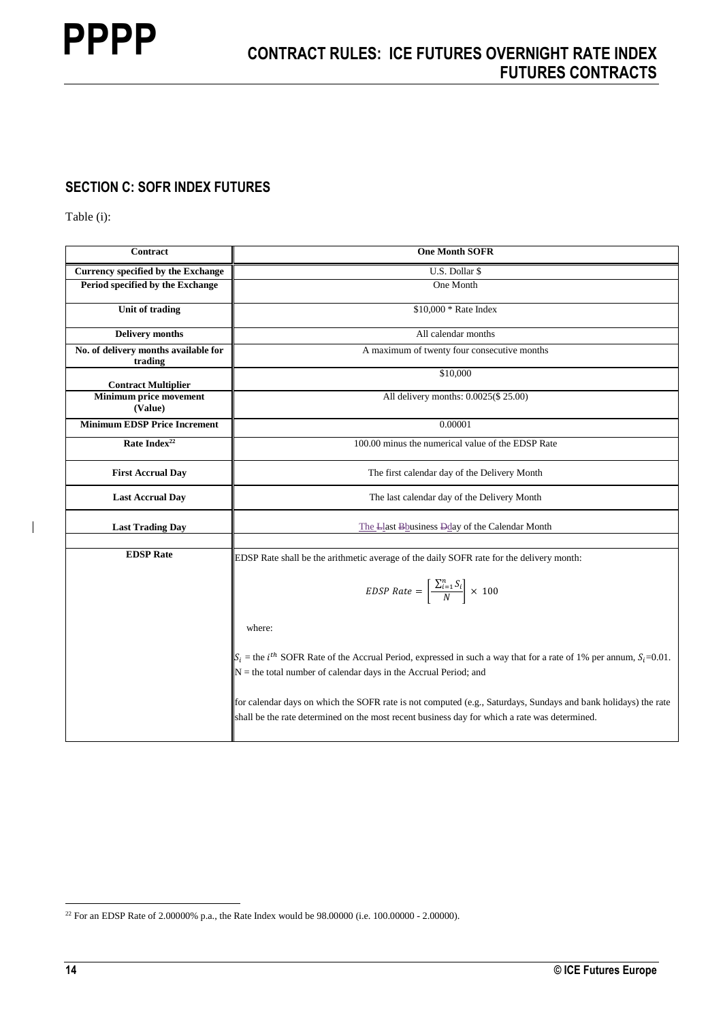## **SECTION C: SOFR INDEX FUTURES**

Table (i):

| Contract                                        | <b>One Month SOFR</b>                                                                                                                                                                                           |
|-------------------------------------------------|-----------------------------------------------------------------------------------------------------------------------------------------------------------------------------------------------------------------|
| Currency specified by the Exchange              | U.S. Dollar \$                                                                                                                                                                                                  |
| Period specified by the Exchange                | One Month                                                                                                                                                                                                       |
| <b>Unit of trading</b>                          | \$10,000 * Rate Index                                                                                                                                                                                           |
| <b>Delivery months</b>                          | All calendar months                                                                                                                                                                                             |
| No. of delivery months available for<br>trading | A maximum of twenty four consecutive months                                                                                                                                                                     |
| <b>Contract Multiplier</b>                      | \$10,000                                                                                                                                                                                                        |
| Minimum price movement<br>(Value)               | All delivery months: 0.0025(\$ 25.00)                                                                                                                                                                           |
| <b>Minimum EDSP Price Increment</b>             | 0.00001                                                                                                                                                                                                         |
| Rate Index <sup>22</sup>                        | 100.00 minus the numerical value of the EDSP Rate                                                                                                                                                               |
| <b>First Accrual Day</b>                        | The first calendar day of the Delivery Month                                                                                                                                                                    |
| <b>Last Accrual Day</b>                         | The last calendar day of the Delivery Month                                                                                                                                                                     |
| <b>Last Trading Day</b>                         | The Llast Bhusiness Dday of the Calendar Month                                                                                                                                                                  |
| <b>EDSP</b> Rate                                |                                                                                                                                                                                                                 |
|                                                 | EDSP Rate shall be the arithmetic average of the daily SOFR rate for the delivery month:                                                                                                                        |
|                                                 | EDSP Rate = $\left[\frac{\sum_{i=1}^{n} S_i}{N}\right] \times 100$                                                                                                                                              |
|                                                 | where:                                                                                                                                                                                                          |
|                                                 | $S_i$ = the <i>i</i> <sup>th</sup> SOFR Rate of the Accrual Period, expressed in such a way that for a rate of 1% per annum, $S_i$ =0.01.<br>$N =$ the total number of calendar days in the Accrual Period; and |
|                                                 | for calendar days on which the SOFR rate is not computed (e.g., Saturdays, Sundays and bank holidays) the rate<br>shall be the rate determined on the most recent business day for which a rate was determined. |

1

 $\overline{1}$ 

<sup>&</sup>lt;sup>22</sup> For an EDSP Rate of 2.00000% p.a., the Rate Index would be  $98.00000$  (i.e. 100.00000 - 2.00000).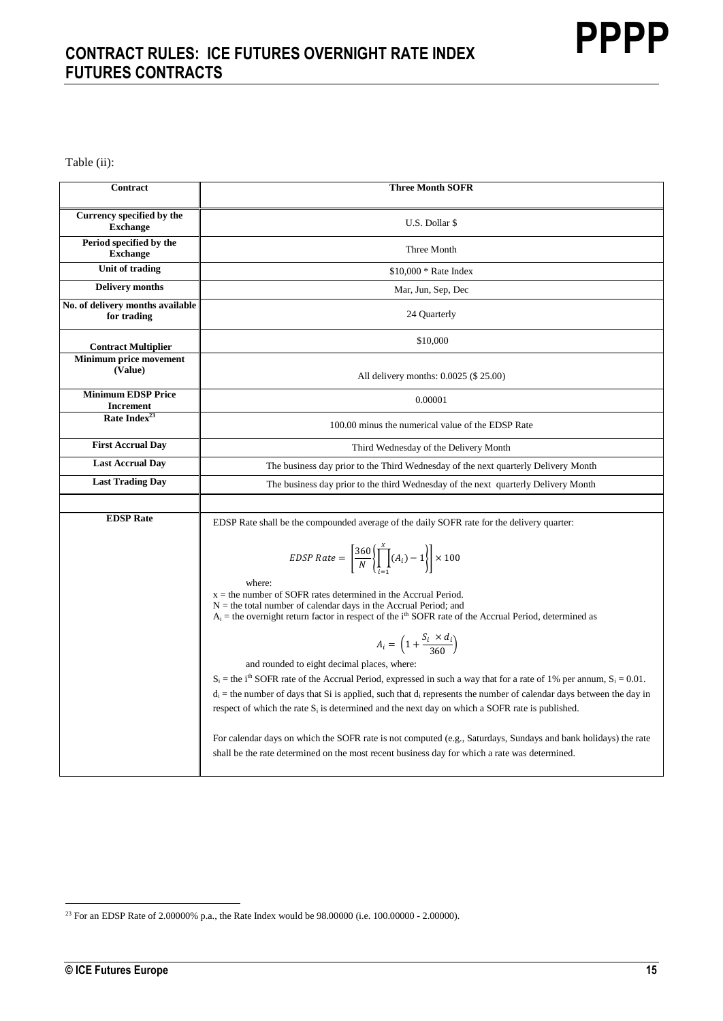Table (ii):

| Contract                                        | <b>Three Month SOFR</b>                                                                                                                                                                                                                                        |
|-------------------------------------------------|----------------------------------------------------------------------------------------------------------------------------------------------------------------------------------------------------------------------------------------------------------------|
| Currency specified by the<br><b>Exchange</b>    | U.S. Dollar \$                                                                                                                                                                                                                                                 |
| Period specified by the<br><b>Exchange</b>      | Three Month                                                                                                                                                                                                                                                    |
| Unit of trading                                 | $$10,000 * Rate Index$                                                                                                                                                                                                                                         |
| <b>Delivery months</b>                          | Mar, Jun, Sep, Dec                                                                                                                                                                                                                                             |
| No. of delivery months available<br>for trading | 24 Quarterly                                                                                                                                                                                                                                                   |
| <b>Contract Multiplier</b>                      | \$10,000                                                                                                                                                                                                                                                       |
| Minimum price movement<br>(Value)               | All delivery months: 0.0025 (\$ 25.00)                                                                                                                                                                                                                         |
| <b>Minimum EDSP Price</b><br><b>Increment</b>   | 0.00001                                                                                                                                                                                                                                                        |
| Rate Index <sup>23</sup>                        | 100.00 minus the numerical value of the EDSP Rate                                                                                                                                                                                                              |
| <b>First Accrual Day</b>                        | Third Wednesday of the Delivery Month                                                                                                                                                                                                                          |
| <b>Last Accrual Day</b>                         | The business day prior to the Third Wednesday of the next quarterly Delivery Month                                                                                                                                                                             |
| <b>Last Trading Day</b>                         | The business day prior to the third Wednesday of the next quarterly Delivery Month                                                                                                                                                                             |
|                                                 |                                                                                                                                                                                                                                                                |
| <b>EDSP</b> Rate                                | EDSP Rate shall be the compounded average of the daily SOFR rate for the delivery quarter:                                                                                                                                                                     |
|                                                 | EDSP Rate = $\left[\frac{360}{N}\left(\prod_{i=1}^{x}(A_i)-1\right)\right] \times 100$<br>where:                                                                                                                                                               |
|                                                 | $x =$ the number of SOFR rates determined in the Accrual Period.<br>$N =$ the total number of calendar days in the Accrual Period; and<br>$A_i$ = the overnight return factor in respect of the i <sup>th</sup> SOFR rate of the Accrual Period, determined as |
|                                                 | $A_i = \left(1 + \frac{S_i \times d_i}{360}\right)$                                                                                                                                                                                                            |
|                                                 | and rounded to eight decimal places, where:                                                                                                                                                                                                                    |
|                                                 | $S_i$ = the i <sup>th</sup> SOFR rate of the Accrual Period, expressed in such a way that for a rate of 1% per annum, $S_i = 0.01$ .                                                                                                                           |
|                                                 | $d_i$ = the number of days that Si is applied, such that $d_i$ represents the number of calendar days between the day in<br>respect of which the rate $S_i$ is determined and the next day on which a SOFR rate is published.                                  |
|                                                 | For calendar days on which the SOFR rate is not computed (e.g., Saturdays, Sundays and bank holidays) the rate<br>shall be the rate determined on the most recent business day for which a rate was determined.                                                |

<sup>&</sup>lt;sup>23</sup> For an EDSP Rate of 2.00000% p.a., the Rate Index would be  $98.00000$  (i.e. 100.00000 - 2.00000).